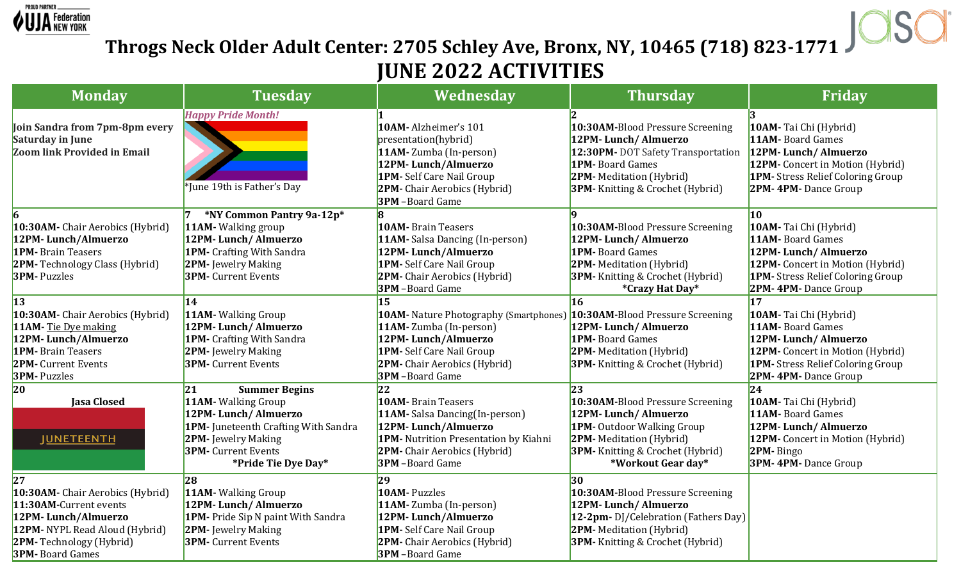

## **Throgs Neck Older Adult Center: 2705 Schley Ave, Bronx, NY, 10465 (718) 823-1771 JUNE 2022 ACTIVITIES**

| <b>Monday</b>                                                                                                                                                                          | <b>Tuesday</b>                                                                                                                                                                               | Wednesday                                                                                                                                                                                                                    | <b>Thursday</b>                                                                                                                                                                                       | Friday                                                                                                                                                                                |
|----------------------------------------------------------------------------------------------------------------------------------------------------------------------------------------|----------------------------------------------------------------------------------------------------------------------------------------------------------------------------------------------|------------------------------------------------------------------------------------------------------------------------------------------------------------------------------------------------------------------------------|-------------------------------------------------------------------------------------------------------------------------------------------------------------------------------------------------------|---------------------------------------------------------------------------------------------------------------------------------------------------------------------------------------|
| Join Sandra from 7pm-8pm every<br><b>Saturday in June</b><br><b>Zoom link Provided in Email</b>                                                                                        | <b>Happy Pride Month!</b><br>*June 19th is Father's Day                                                                                                                                      | 10AM-Alzheimer's 101<br>presentation(hybrid)<br>11AM-Zumba (In-person)<br>12PM-Lunch/Almuerzo<br>1PM-Self Care Nail Group<br>2PM- Chair Aerobics (Hybrid)<br><b>3PM</b> -Board Game                                          | 10:30AM-Blood Pressure Screening<br>12PM-Lunch/Almuerzo<br>12:30PM-DOT Safety Transportation<br><b>1PM-</b> Board Games<br><b>2PM-</b> Meditation (Hybrid)<br><b>3PM-</b> Knitting & Crochet (Hybrid) | 10AM- Tai Chi (Hybrid)<br>11AM- Board Games<br>12PM-Lunch/Almuerzo<br>12PM- Concert in Motion (Hybrid)<br>1PM- Stress Relief Coloring Group<br>2PM-4PM-Dance Group                    |
| 10:30AM- Chair Aerobics (Hybrid)<br>12PM-Lunch/Almuerzo<br><b>1PM-</b> Brain Teasers<br><b>2PM-</b> Technology Class (Hybrid)<br><b>3PM-</b> Puzzles                                   | *NY Common Pantry 9a-12p*<br>11AM - Walking group<br>12PM-Lunch/Almuerzo<br>1PM- Crafting With Sandra<br><b>2PM-</b> Jewelry Making<br><b>3PM-</b> Current Events                            | <b>10AM-</b> Brain Teasers<br>11AM-Salsa Dancing (In-person)<br>12PM-Lunch/Almuerzo<br>1PM-Self Care Nail Group<br>2PM-Chair Aerobics (Hybrid)<br><b>3PM</b> -Board Game                                                     | 10:30AM-Blood Pressure Screening<br>12PM-Lunch/Almuerzo<br><b>1PM-</b> Board Games<br><b>2PM-</b> Meditation (Hybrid)<br><b>3PM-</b> Knitting & Crochet (Hybrid)<br>*Crazy Hat Day*                   | 10<br>10AM- Tai Chi (Hybrid)<br>11AM-Board Games<br>12PM-Lunch/Almuerzo<br>12PM- Concert in Motion (Hybrid)<br><b>1PM-</b> Stress Relief Coloring Group<br><b>2PM-4PM-Dance Group</b> |
| <b>13</b><br>10:30AM- Chair Aerobics (Hybrid)<br>11AM-Tie Dye making<br>12PM-Lunch/Almuerzo<br><b>1PM-</b> Brain Teasers<br><b>2PM-</b> Current Events<br><b>3PM-</b> Puzzles          | 14<br><b>11AM-</b> Walking Group<br>12PM-Lunch/Almuerzo<br><b>1PM-</b> Crafting With Sandra<br>2PM- Jewelry Making<br><b>3PM-</b> Current Events                                             | 15<br>10AM - Nature Photography (Smartphones) 10:30AM-Blood Pressure Screening<br>11AM-Zumba (In-person)<br>12PM-Lunch/Almuerzo<br>1PM-Self Care Nail Group<br><b>2PM-</b> Chair Aerobics (Hybrid)<br><b>3PM</b> -Board Game | <b>16</b><br>12PM-Lunch/Almuerzo<br><b>1PM-</b> Board Games<br><b>2PM-</b> Meditation (Hybrid)<br><b>3PM-</b> Knitting & Crochet (Hybrid)                                                             | 17<br>10AM- Tai Chi (Hybrid)<br>11AM- Board Games<br>12PM-Lunch/Almuerzo<br>12PM- Concert in Motion (Hybrid)<br><b>1PM-</b> Stress Relief Coloring Group<br>2PM-4PM-Dance Group       |
| $ 20\rangle$<br><b>Jasa Closed</b><br><b>JUNETEENTH</b>                                                                                                                                | 21<br><b>Summer Begins</b><br>11AM- Walking Group<br>12PM-Lunch/Almuerzo<br>1PM- Juneteenth Crafting With Sandra<br>2PM- Jewelry Making<br><b>3PM-</b> Current Events<br>*Pride Tie Dye Day* | 22<br><b>10AM-</b> Brain Teasers<br>11AM-Salsa Dancing(In-person)<br>12PM-Lunch/Almuerzo<br>1PM- Nutrition Presentation by Kiahni<br><b>2PM-</b> Chair Aerobics (Hybrid)<br><b>3PM</b> -Board Game                           | 23<br>10:30AM-Blood Pressure Screening<br>12PM-Lunch/Almuerzo<br><b>1PM-</b> Outdoor Walking Group<br>2PM-Meditation (Hybrid)<br><b>3PM-</b> Knitting & Crochet (Hybrid)<br>*Workout Gear day*        | $ 24\rangle$<br>10AM-Tai Chi (Hybrid)<br>11AM- Board Games<br>12PM-Lunch/Almuerzo<br>12PM- Concert in Motion (Hybrid)<br>2PM-Bingo<br><b>3PM-4PM-Dance Group</b>                      |
| 27<br>10:30AM- Chair Aerobics (Hybrid)<br>11:30AM-Current events<br>12PM-Lunch/Almuerzo<br>12PM-NYPL Read Aloud (Hybrid)<br><b>2PM-</b> Technology (Hybrid)<br><b>3PM-</b> Board Games | 28<br>11AM - Walking Group<br>12PM-Lunch/Almuerzo<br><b>1PM-</b> Pride Sip N paint With Sandra<br><b>2PM-</b> Jewelry Making<br><b>3PM-</b> Current Events                                   | 29<br><b>10AM-Puzzles</b><br>11AM-Zumba (In-person)<br>12PM-Lunch/Almuerzo<br><b>1PM-</b> Self Care Nail Group<br>2PM-Chair Aerobics (Hybrid)<br><b>3PM</b> -Board Game                                                      | 30<br>10:30AM-Blood Pressure Screening<br>12PM-Lunch/Almuerzo<br>12-2pm-DJ/Celebration (Fathers Day)<br><b>2PM-</b> Meditation (Hybrid)<br><b>3PM-</b> Knitting & Crochet (Hybrid)                    |                                                                                                                                                                                       |